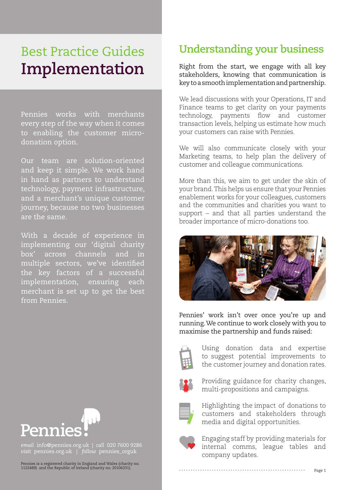# Best Practice Guides **Implementation**

Pennies works with merchants every step of the way when it comes to enabling the customer microdonation option.

Our team are solution-oriented and keep it simple. We work hand in hand as partners to understand technology, payment infrastructure, and a merchant's unique customer journey, because no two businesses are the same.

With a decade of experience in implementing our 'digital charity box' across channels and in multiple sectors, we've identified the key factors of a successful implementation, ensuring each merchant is set up to get the best from Pennies.

# **Understanding your business**

Right from the start, we engage with all key stakeholders, knowing that communication is key to a smooth implementation and partnership.

We lead discussions with your Operations, IT and Finance teams to get clarity on your payments technology, payments flow and customer transaction levels, helping us estimate how much your customers can raise with Pennies.

We will also communicate closely with your Marketing teams, to help plan the delivery of customer and colleague communications.

More than this, we aim to get under the skin of your brand. This helps us ensure that your Pennies enablement works for your colleagues, customers and the communities and charities you want to support – and that all parties understand the broader importance of micro-donations too.



Pennies' work isn't over once you're up and running. We continue to work closely with you to maximise the partnership and funds raised:



Using donation data and expertise to suggest potential improvements to the customer journey and donation rates.



Providing guidance for charity changes, multi-propositions and campaigns.



Highlighting the impact of donations to customers and stakeholders through media and digital opportunities.



Engaging staff by providing materials for internal comms, league tables and company updates.



*email* info@pennies.org.uk | *call* 020 7600 9286 *visit* pennies.org.uk | *follow* pennies\_orguk

Pennies is a registered charity in England and Wales (charity no. 1122489) and the Republic of Ireland (charity no. 20106331).